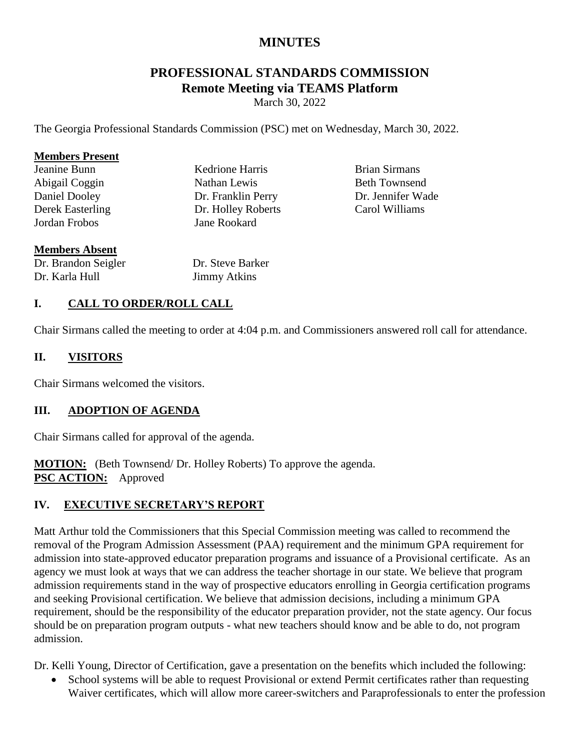# **MINUTES**

# **PROFESSIONAL STANDARDS COMMISSION Remote Meeting via TEAMS Platform**

March 30, 2022

The Georgia Professional Standards Commission (PSC) met on Wednesday, March 30, 2022.

#### **Members Present**

| Jeanine Bunn            |
|-------------------------|
| Abigail Coggin          |
| <b>Daniel Dooley</b>    |
| <b>Derek Easterling</b> |
| Jordan Frobos           |

Kedrione Harris Nathan Lewis Dr. Franklin Perry Dr. Holley Roberts Jane Rookard

Brian Sirmans Beth Townsend Dr. Jennifer Wade Carol Williams

#### **Members Absent**

Dr. Brandon Seigler Dr. Karla Hull

Dr. Steve Barker Jimmy Atkins

## **I. CALL TO ORDER/ROLL CALL**

Chair Sirmans called the meeting to order at 4:04 p.m. and Commissioners answered roll call for attendance.

#### **II. VISITORS**

Chair Sirmans welcomed the visitors.

### **III. ADOPTION OF AGENDA**

Chair Sirmans called for approval of the agenda.

**MOTION:** (Beth Townsend/ Dr. Holley Roberts) To approve the agenda. **PSC ACTION:** Approved

### **IV. EXECUTIVE SECRETARY'S REPORT**

Matt Arthur told the Commissioners that this Special Commission meeting was called to recommend the removal of the Program Admission Assessment (PAA) requirement and the minimum GPA requirement for admission into state-approved educator preparation programs and issuance of a Provisional certificate. As an agency we must look at ways that we can address the teacher shortage in our state. We believe that program admission requirements stand in the way of prospective educators enrolling in Georgia certification programs and seeking Provisional certification. We believe that admission decisions, including a minimum GPA requirement, should be the responsibility of the educator preparation provider, not the state agency. Our focus should be on preparation program outputs - what new teachers should know and be able to do, not program admission.

Dr. Kelli Young, Director of Certification, gave a presentation on the benefits which included the following:

 School systems will be able to request Provisional or extend Permit certificates rather than requesting Waiver certificates, which will allow more career-switchers and Paraprofessionals to enter the profession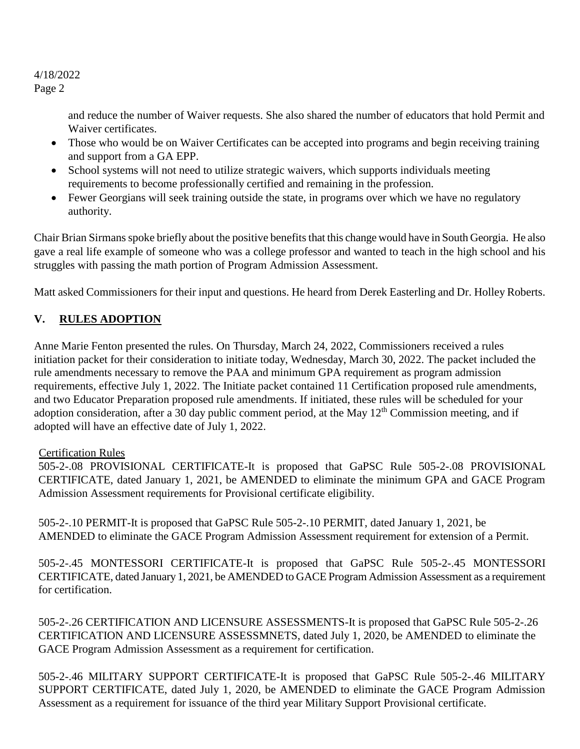4/18/2022 Page 2

> and reduce the number of Waiver requests. She also shared the number of educators that hold Permit and Waiver certificates.

- Those who would be on Waiver Certificates can be accepted into programs and begin receiving training and support from a GA EPP.
- School systems will not need to utilize strategic waivers, which supports individuals meeting requirements to become professionally certified and remaining in the profession.
- Fewer Georgians will seek training outside the state, in programs over which we have no regulatory authority.

Chair Brian Sirmans spoke briefly about the positive benefits that this change would have in South Georgia. He also gave a real life example of someone who was a college professor and wanted to teach in the high school and his struggles with passing the math portion of Program Admission Assessment.

Matt asked Commissioners for their input and questions. He heard from Derek Easterling and Dr. Holley Roberts.

# **V. RULES ADOPTION**

Anne Marie Fenton presented the rules. On Thursday, March 24, 2022, Commissioners received a rules initiation packet for their consideration to initiate today, Wednesday, March 30, 2022. The packet included the rule amendments necessary to remove the PAA and minimum GPA requirement as program admission requirements, effective July 1, 2022. The Initiate packet contained 11 Certification proposed rule amendments, and two Educator Preparation proposed rule amendments. If initiated, these rules will be scheduled for your adoption consideration, after a 30 day public comment period, at the May  $12<sup>th</sup>$  Commission meeting, and if adopted will have an effective date of July 1, 2022.

### Certification Rules

505-2-.08 PROVISIONAL CERTIFICATE-It is proposed that GaPSC Rule 505-2-.08 PROVISIONAL CERTIFICATE, dated January 1, 2021, be AMENDED to eliminate the minimum GPA and GACE Program Admission Assessment requirements for Provisional certificate eligibility.

505-2-.10 PERMIT-It is proposed that GaPSC Rule 505-2-.10 PERMIT, dated January 1, 2021, be AMENDED to eliminate the GACE Program Admission Assessment requirement for extension of a Permit.

505-2-.45 MONTESSORI CERTIFICATE-It is proposed that GaPSC Rule 505-2-.45 MONTESSORI CERTIFICATE, dated January 1, 2021, be AMENDED to GACE Program Admission Assessment as a requirement for certification.

505-2-.26 CERTIFICATION AND LICENSURE ASSESSMENTS-It is proposed that GaPSC Rule 505-2-.26 CERTIFICATION AND LICENSURE ASSESSMNETS, dated July 1, 2020, be AMENDED to eliminate the GACE Program Admission Assessment as a requirement for certification.

505-2-.46 MILITARY SUPPORT CERTIFICATE-It is proposed that GaPSC Rule 505-2-.46 MILITARY SUPPORT CERTIFICATE, dated July 1, 2020, be AMENDED to eliminate the GACE Program Admission Assessment as a requirement for issuance of the third year Military Support Provisional certificate.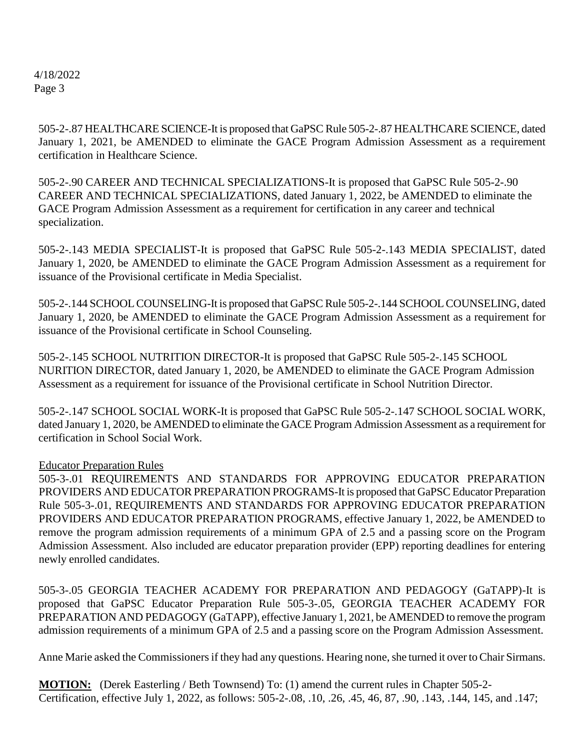4/18/2022 Page 3

> 505-2-.87 HEALTHCARE SCIENCE-It is proposed that GaPSC Rule 505-2-.87 HEALTHCARE SCIENCE, dated January 1, 2021, be AMENDED to eliminate the GACE Program Admission Assessment as a requirement certification in Healthcare Science.

505-2-.90 CAREER AND TECHNICAL SPECIALIZATIONS-It is proposed that GaPSC Rule 505-2-.90 CAREER AND TECHNICAL SPECIALIZATIONS, dated January 1, 2022, be AMENDED to eliminate the GACE Program Admission Assessment as a requirement for certification in any career and technical specialization.

505-2-.143 MEDIA SPECIALIST-It is proposed that GaPSC Rule 505-2-.143 MEDIA SPECIALIST, dated January 1, 2020, be AMENDED to eliminate the GACE Program Admission Assessment as a requirement for issuance of the Provisional certificate in Media Specialist.

505-2-.144 SCHOOL COUNSELING-It is proposed that GaPSC Rule 505-2-.144 SCHOOL COUNSELING, dated January 1, 2020, be AMENDED to eliminate the GACE Program Admission Assessment as a requirement for issuance of the Provisional certificate in School Counseling.

505-2-.145 SCHOOL NUTRITION DIRECTOR-It is proposed that GaPSC Rule 505-2-.145 SCHOOL NURITION DIRECTOR, dated January 1, 2020, be AMENDED to eliminate the GACE Program Admission Assessment as a requirement for issuance of the Provisional certificate in School Nutrition Director.

505-2-.147 SCHOOL SOCIAL WORK-It is proposed that GaPSC Rule 505-2-.147 SCHOOL SOCIAL WORK, dated January 1, 2020, be AMENDED to eliminate the GACE Program Admission Assessment as a requirement for certification in School Social Work.

### Educator Preparation Rules

505-3-.01 REQUIREMENTS AND STANDARDS FOR APPROVING EDUCATOR PREPARATION PROVIDERS AND EDUCATOR PREPARATION PROGRAMS-It is proposed that GaPSC Educator Preparation Rule 505-3-.01, REQUIREMENTS AND STANDARDS FOR APPROVING EDUCATOR PREPARATION PROVIDERS AND EDUCATOR PREPARATION PROGRAMS, effective January 1, 2022, be AMENDED to remove the program admission requirements of a minimum GPA of 2.5 and a passing score on the Program Admission Assessment. Also included are educator preparation provider (EPP) reporting deadlines for entering newly enrolled candidates.

505-3-.05 GEORGIA TEACHER ACADEMY FOR PREPARATION AND PEDAGOGY (GaTAPP)-It is proposed that GaPSC Educator Preparation Rule 505-3-.05, GEORGIA TEACHER ACADEMY FOR PREPARATION AND PEDAGOGY (GaTAPP), effective January 1, 2021, be AMENDED to remove the program admission requirements of a minimum GPA of 2.5 and a passing score on the Program Admission Assessment.

Anne Marie asked the Commissioners if they had any questions. Hearing none, she turned it over to Chair Sirmans.

**MOTION:** (Derek Easterling / Beth Townsend) To: (1) amend the current rules in Chapter 505-2-Certification, effective July 1, 2022, as follows: 505-2-.08, .10, .26, .45, 46, 87, .90, .143, .144, 145, and .147;